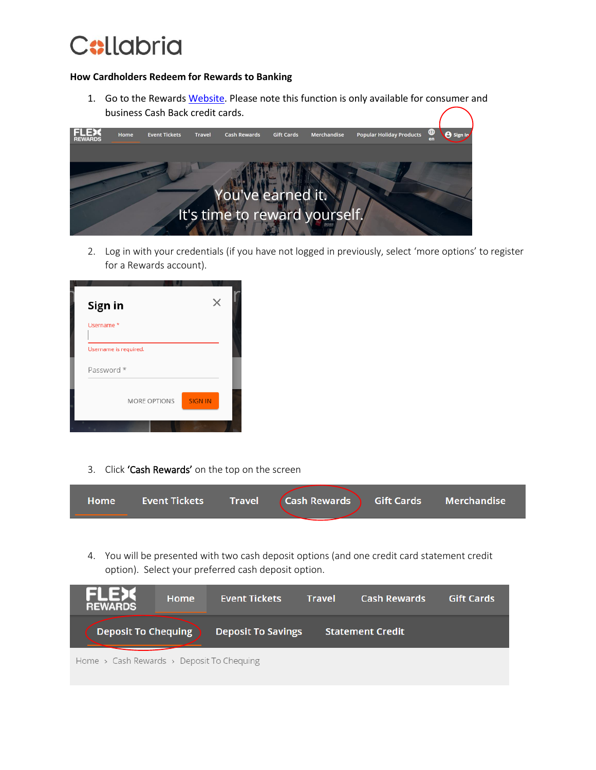

### **How Cardholders Redeem for Rewards to Banking**

1. Go to the Reward[s Website.](https://reward-headquarters.com/groupCollabriaNational/home?_sm_au_=iVVFnnNvPMF5FQrNLVN2jKsTtN4QF) Please note this function is only available for consumer and business Cash Back credit cards.



2. Log in with your credentials (if you have not logged in previously, select 'more options' to register for a Rewards account).

| Sign in                               |  |
|---------------------------------------|--|
| Username*                             |  |
| Username is required.                 |  |
| Password *                            |  |
| <b>SIGN IN</b><br><b>MORE OPTIONS</b> |  |
|                                       |  |

3. Click 'Cash Rewards' on the top on the screen

| <b>Home</b> | <b>Event Tickets</b> | <b>Travel</b> | (Cash Rewards ) Gift Cards   Merchandise ˈ |  |  |
|-------------|----------------------|---------------|--------------------------------------------|--|--|
|             |                      |               |                                            |  |  |

4. You will be presented with two cash deposit options (and one credit card statement credit option). Select your preferred cash deposit option.

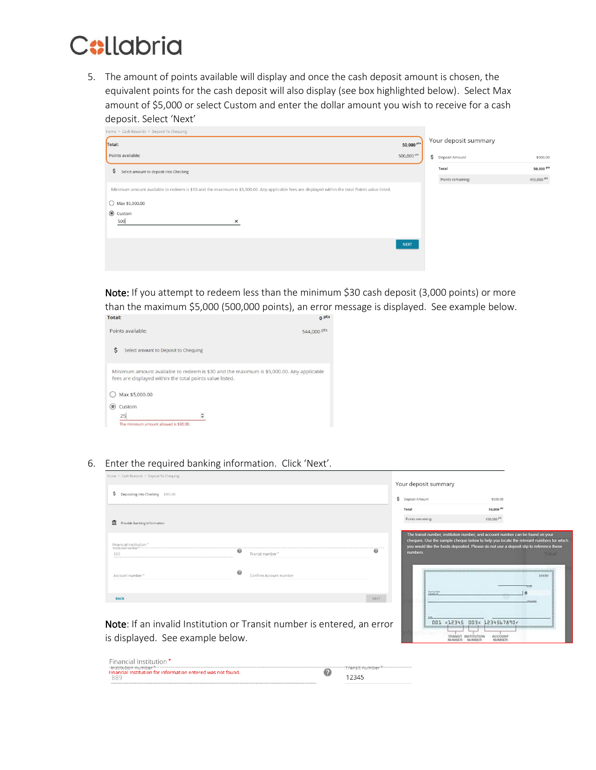

5. The amount of points available will display and once the cash deposit amount is chosen, the equivalent points for the cash deposit will also display (see box highlighted below). Select Max amount of \$5,000 or select Custom and enter the dollar amount you wish to receive for a cash deposit. Select 'Next'

| Home > Cash Rewards > Deposit To Chequing                                                                                                         |                       |                      |             |
|---------------------------------------------------------------------------------------------------------------------------------------------------|-----------------------|----------------------|-------------|
| Total:                                                                                                                                            | 50,000 <sup>pts</sup> | Your deposit summary |             |
| Points available:                                                                                                                                 | 500,000 pts           | S Deposit Amount     | \$500.00    |
| \$<br>Select amount to deposit into Checking                                                                                                      |                       | Total                | 50,000 pts  |
|                                                                                                                                                   |                       | Points remaining:    | 450,000 Pts |
| Minimum amount available to redeem is \$50 and the maximum is \$5,000.00. Any applicable fees are displayed within the total Points value listed. |                       |                      |             |
| $\bigcirc$ Max \$5,000.00                                                                                                                         |                       |                      |             |
| <b>◎</b> Custom<br>500<br>×                                                                                                                       |                       |                      |             |
|                                                                                                                                                   | <b>NEXT</b>           |                      |             |

Note: If you attempt to redeem less than the minimum \$30 cash deposit (3,000 points) or more than the maximum \$5,000 (500,000 points), an error message is displayed. See example below.<br>
Instal:

| Points available:                                        | 544,000 pts                                                                              |
|----------------------------------------------------------|------------------------------------------------------------------------------------------|
| \$<br>Select amount to Deposit to Chequing               |                                                                                          |
| fees are displayed within the total points value listed. | Minimum amount available to redeem is \$30 and the maximum is \$5,000.00. Any applicable |
| Max \$5,000.00                                           |                                                                                          |
| Custom                                                   |                                                                                          |
| 25                                                       |                                                                                          |
| The minimum amount allowed is \$30.00.                   |                                                                                          |
|                                                          |                                                                                          |

6. Enter the required banking information. Click 'Next'.

| Home > Cash Rewards > Deposit To Chequing              |                                                 |                     | Your deposit summary                                                                                                                                                                                                                                                         |  |
|--------------------------------------------------------|-------------------------------------------------|---------------------|------------------------------------------------------------------------------------------------------------------------------------------------------------------------------------------------------------------------------------------------------------------------------|--|
| S Depositing into Checking \$500.00                    |                                                 | \$ Deposit Amount   | \$500.00                                                                                                                                                                                                                                                                     |  |
|                                                        |                                                 | Total               | 50,000 <sup>pts</sup>                                                                                                                                                                                                                                                        |  |
| <b>n</b> Provide banking information                   |                                                 | Points remaining:   | 450,000 PM                                                                                                                                                                                                                                                                   |  |
| Financial Institution *<br>"Institution number"<br>889 | 0<br>Transit number*                            | 0<br><b>numbers</b> | The transit number, institution number, and account number can be found on your<br>cheques. Use the sample cheque below to help you locate the relevant numbers for which<br>you would like the funds deposited. Please do not use a deposit sig to reference these<br>Total |  |
| Account number *                                       | $\boldsymbol{\omega}$<br>Confirm Account number |                     | 1000<br>tetions.<br>食                                                                                                                                                                                                                                                        |  |
| <b>BACK</b>                                            |                                                 | <b>NEXT</b>         | <b>AND</b>                                                                                                                                                                                                                                                                   |  |

001 <12345 003< 1234567890<

 $\overline{\mathbf{u}}$ 

ACCOUNT<br>NUMBER

Note: If an invalid Institution or Transit number is entered, an error is displayed. See example below.

| Financial Institution *                                                                  |                                 |
|------------------------------------------------------------------------------------------|---------------------------------|
| -institution number*----<br>Financial Institution for information entered was not found. | "Transit number*--------------- |
| 12345<br>889                                                                             |                                 |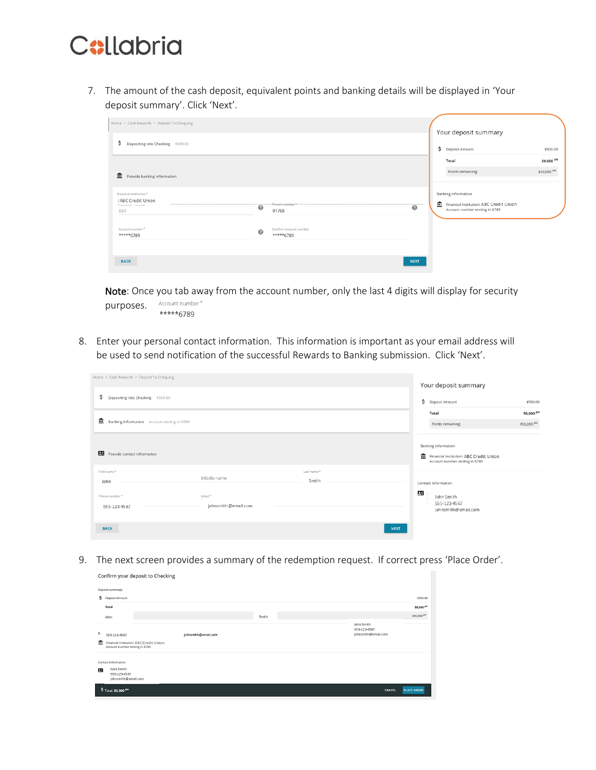

Confirm your deposit to Checking

7. The amount of the cash deposit, equivalent points and banking details will be displayed in 'Your deposit summary'. Click 'Next'.

| Home > Cash Rewards > Deposit To Chequing                                              |                       |                                     |             | Your deposit summary                                                                            |                                      |
|----------------------------------------------------------------------------------------|-----------------------|-------------------------------------|-------------|-------------------------------------------------------------------------------------------------|--------------------------------------|
| \$<br>Depositing into Checking \$500.00                                                |                       |                                     |             | S Deposit Amount                                                                                | \$500.00                             |
| Provide banking information                                                            |                       |                                     |             | Total<br>Points remaining:                                                                      | 50,000 <sup>pts</sup><br>450,000 Pts |
| Financial Institution *<br>(ABC Credit Union<br>This purpose and in experiments<br>889 | $\boldsymbol{\omega}$ | "Transit number."<br>01768          | $\odot$     | Banking information<br>Financial Institution: ABC Credit Union<br>Account number ending in 6789 |                                      |
| Account number *<br>*****6789                                                          | 0                     | Confirm Account number<br>*****6789 |             |                                                                                                 |                                      |
| <b>BACK</b>                                                                            |                       |                                     | <b>NEXT</b> |                                                                                                 |                                      |

Note: Once you tab away from the account number, only the last 4 digits will display for security purposes. Account number\* \*\*\*\*\*6789

8. Enter your personal contact information. This information is important as your email address will be used to send notification of the successful Rewards to Banking submission. Click 'Next'.

| Home > Cash Rewards > Deposit To Chequing       |                               |                     |             | Your deposit summary                                                                            |                                      |
|-------------------------------------------------|-------------------------------|---------------------|-------------|-------------------------------------------------------------------------------------------------|--------------------------------------|
| \$<br>Depositing into Checking \$500.00         |                               |                     |             | \$<br>Deposit Amount                                                                            | \$500.00                             |
| 血<br>Banking Information Account ending in 6789 |                               |                     |             | Total<br>Points remaining:                                                                      | 50,000 pts<br>450,000 <sup>pts</sup> |
| Provide contact information                     |                               |                     |             | Banking information<br>Financial Institution: ABC Credit Union<br>Account number ending in 6789 |                                      |
| First name*<br>John                             | Middle name                   | Last name*<br>Smith |             | Contact information                                                                             |                                      |
| Phone number*<br>555-123-4567                   | Email*<br>johnsmith@email.com |                     | 26          | John Smith<br>555-123-4567<br>johnsmith@email.com                                               |                                      |
| <b>BACK</b>                                     |                               |                     | <b>NEXT</b> |                                                                                                 |                                      |

9. The next screen provides a summary of the redemption request. If correct press 'Place Order'.

|    | Deposit summary                                                          |       |                                                   |                        |  |  |  |  |  |
|----|--------------------------------------------------------------------------|-------|---------------------------------------------------|------------------------|--|--|--|--|--|
|    | S Deposit Amount                                                         |       |                                                   | \$500.00               |  |  |  |  |  |
|    | Total                                                                    |       |                                                   | 50,000 pts             |  |  |  |  |  |
|    | John                                                                     | Smith |                                                   | 450,000 <sup>pts</sup> |  |  |  |  |  |
| В. | johnsmith@email.com<br>555-123-4567                                      |       | John Smith<br>555-123-4567<br>johnsmith@email.com |                        |  |  |  |  |  |
| m. | Financial Institution: ABC Credit Union<br>Account number ending in 6789 |       |                                                   |                        |  |  |  |  |  |
|    | Contact information                                                      |       |                                                   |                        |  |  |  |  |  |
| 四  | John Smith<br>555-123-4567<br>johnsmith@email.com                        |       |                                                   |                        |  |  |  |  |  |
|    | \$ Total: 50,000 <sup>pts</sup>                                          |       | CANCEL                                            | <b>PLACE ORDER</b>     |  |  |  |  |  |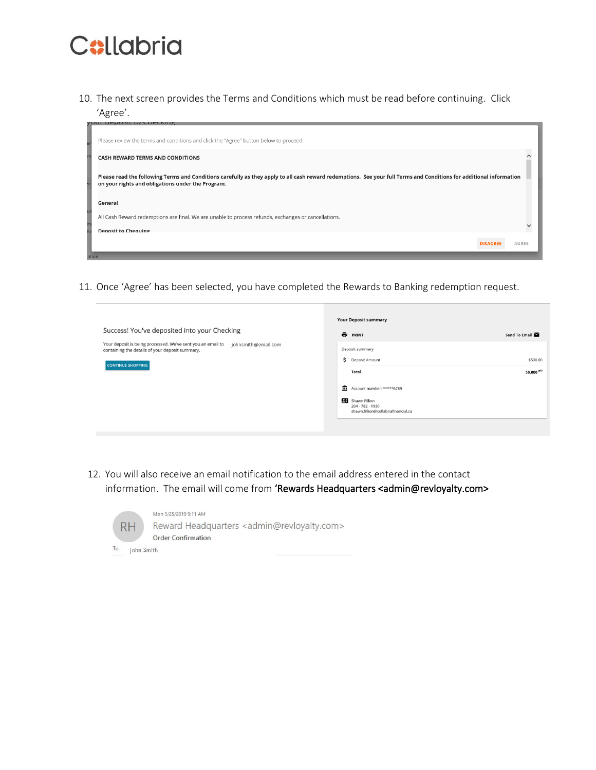

10. The next screen provides the Terms and Conditions which must be read before continuing. Click 'Agree'.



11. Once 'Agree' has been selected, you have completed the Rewards to Banking redemption request.



12. You will also receive an email notification to the email address entered in the contact information. The email will come from 'Rewards Headquarters <admin@revloyalty.com>



Mon 3/25/2019 9:11 AM Reward Headquarters <admin@revloyalty.com> **Order Confirmation**